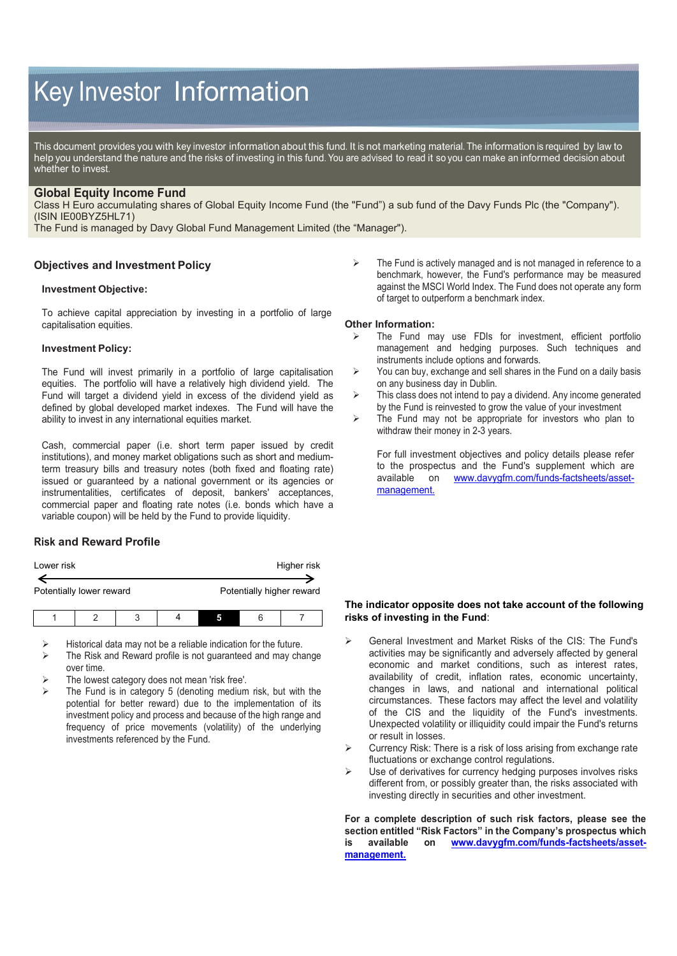# Key Investor Information

This document provides you with key investor information about this fund. It is not marketing material. The information is required by law to help you understand the nature and the risks of investing in this fund. You are advised to read it so you can make an informed decision about whether to invest.

## **Global Equity Income Fund**

Class H Euro accumulating shares of Global Equity Income Fund (the "Fund") a sub fund of the Davy Funds Plc (the "Company"). (ISIN IE00BYZ5HL71)

The Fund is managed by Davy Global Fund Management Limited (the "Manager").

#### **Objectives and Investment Policy**

#### **Investment Objective:**

To achieve capital appreciation by investing in a portfolio of large capitalisation equities.

#### **Investment Policy:**

The Fund will invest primarily in a portfolio of large capitalisation equities. The portfolio will have a relatively high dividend yield. The Fund will target a dividend yield in excess of the dividend yield as defined by global developed market indexes. The Fund will have the ability to invest in any international equities market.

Cash, commercial paper (i.e. short term paper issued by credit institutions), and money market obligations such as short and mediumterm treasury bills and treasury notes (both fixed and floating rate) issued or guaranteed by a national government or its agencies or instrumentalities, certificates of deposit, bankers' acceptances, commercial paper and floating rate notes (i.e. bonds which have a variable coupon) will be held by the Fund to provide liquidity.

## **Risk and Reward Profile**

| Lower risk |                          |   |  | Higher risk |   |                           |
|------------|--------------------------|---|--|-------------|---|---------------------------|
|            | Potentially lower reward |   |  |             |   | Potentially higher reward |
|            |                          | ാ |  |             | F |                           |

Historical data may not be a reliable indication for the future.

- The Risk and Reward profile is not guaranteed and may change over time.
- The lowest category does not mean 'risk free'.
- The Fund is in category 5 (denoting medium risk, but with the potential for better reward) due to the implementation of its investment policy and process and because of the high range and frequency of price movements (volatility) of the underlying investments referenced by the Fund.

 $\triangleright$  The Fund is actively managed and is not managed in reference to a benchmark, however, the Fund's performance may be measured against the MSCI World Index. The Fund does not operate any form of target to outperform a benchmark index.

#### **Other Information:**

- The Fund may use FDIs for investment, efficient portfolio management and hedging purposes. Such techniques and instruments include options and forwards.
- $\triangleright$  You can buy, exchange and sell shares in the Fund on a daily basis on any business day in Dublin.
- $\triangleright$  This class does not intend to pay a dividend. Any income generated by the Fund is reinvested to grow the value of your investment
- $\triangleright$  The Fund may not be appropriate for investors who plan to withdraw their money in 2-3 years.

For full investment objectives and policy details please refer to the prospectus and the Fund's supplement which are available on [www.davygfm.com/funds-factsheets/asset](http://www.davygfm.com/funds-factsheets/asset-management)[management.](http://www.davygfm.com/funds-factsheets/asset-management)

## **The indicator opposite does not take account of the following risks of investing in the Fund**:

- General Investment and Market Risks of the CIS: The Fund's activities may be significantly and adversely affected by general economic and market conditions, such as interest rates, availability of credit, inflation rates, economic uncertainty, changes in laws, and national and international political circumstances. These factors may affect the level and volatility of the CIS and the liquidity of the Fund's investments. Unexpected volatility or illiquidity could impair the Fund's returns or result in losses.
- $\triangleright$  Currency Risk: There is a risk of loss arising from exchange rate fluctuations or exchange control regulations.
- $\triangleright$  Use of derivatives for currency hedging purposes involves risks different from, or possibly greater than, the risks associated with investing directly in securities and other investment.

**For a complete description of such risk factors, please see the section entitled "Risk Factors" in the Company's prospectus which is available on [www.davygfm.com/funds-factsheets/asset](http://www.davygfm.com/funds-factsheets/asset-management)[management.](http://www.davygfm.com/funds-factsheets/asset-management)**